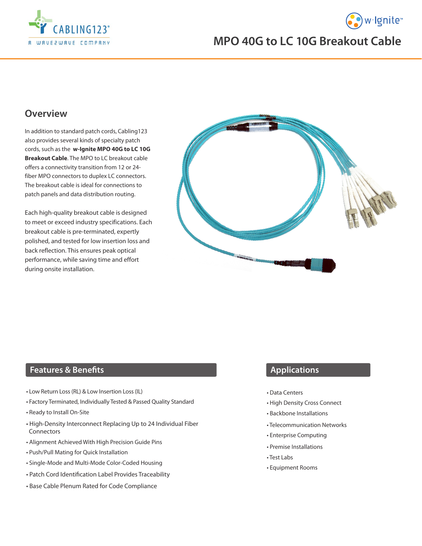



# **MPO 40G to LC 10G Breakout Cable**

## **Overview**

In addition to standard patch cords, Cabling123 also provides several kinds of specialty patch cords, such as the **w-Ignite MPO 40G to LC 10G Breakout Cable**. The MPO to LC breakout cable offers a connectivity transition from 12 or 24 fiber MPO connectors to duplex LC connectors. The breakout cable is ideal for connections to patch panels and data distribution routing.

Each high-quality breakout cable is designed to meet or exceed industry specifications. Each breakout cable is pre-terminated, expertly polished, and tested for low insertion loss and back reflection. This ensures peak optical performance, while saving time and effort during onsite installation.



### **Features & Benefits**

- Low Return Loss (RL) & Low Insertion Loss (IL)
- Factory Terminated, Individually Tested & Passed Quality Standard
- Ready to Install On-Site
- High-Density Interconnect Replacing Up to 24 Individual Fiber Connectors
- Alignment Achieved With High Precision Guide Pins
- Push/Pull Mating for Quick Installation
- Single-Mode and Multi-Mode Color-Coded Housing
- Patch Cord Identification Label Provides Traceability
- Base Cable Plenum Rated for Code Compliance

#### **Applications**

- Data Centers
- High Density Cross Connect
- Backbone Installations
- Telecommunication Networks
- Enterprise Computing
- Premise Installations
- Test Labs
- Equipment Rooms